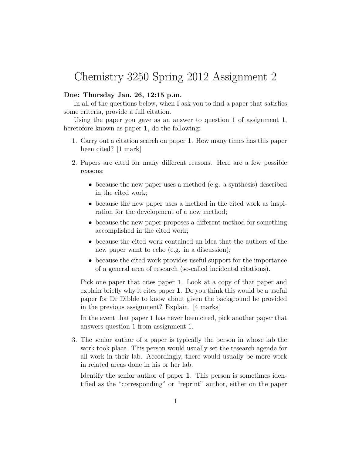## Chemistry 3250 Spring 2012 Assignment 2

## Due: Thursday Jan. 26, 12:15 p.m.

In all of the questions below, when I ask you to find a paper that satisfies some criteria, provide a full citation.

Using the paper you gave as an answer to question 1 of assignment 1, heretofore known as paper 1, do the following:

- 1. Carry out a citation search on paper 1. How many times has this paper been cited? [1 mark]
- 2. Papers are cited for many different reasons. Here are a few possible reasons:
	- because the new paper uses a method (e.g. a synthesis) described in the cited work;
	- because the new paper uses a method in the cited work as inspiration for the development of a new method;
	- because the new paper proposes a different method for something accomplished in the cited work;
	- because the cited work contained an idea that the authors of the new paper want to echo (e.g. in a discussion);
	- because the cited work provides useful support for the importance of a general area of research (so-called incidental citations).

Pick one paper that cites paper 1. Look at a copy of that paper and explain briefly why it cites paper 1. Do you think this would be a useful paper for Dr Dibble to know about given the background he provided in the previous assignment? Explain. [4 marks]

In the event that paper 1 has never been cited, pick another paper that answers question 1 from assignment 1.

3. The senior author of a paper is typically the person in whose lab the work took place. This person would usually set the research agenda for all work in their lab. Accordingly, there would usually be more work in related areas done in his or her lab.

Identify the senior author of paper 1. This person is sometimes identified as the "corresponding" or "reprint" author, either on the paper